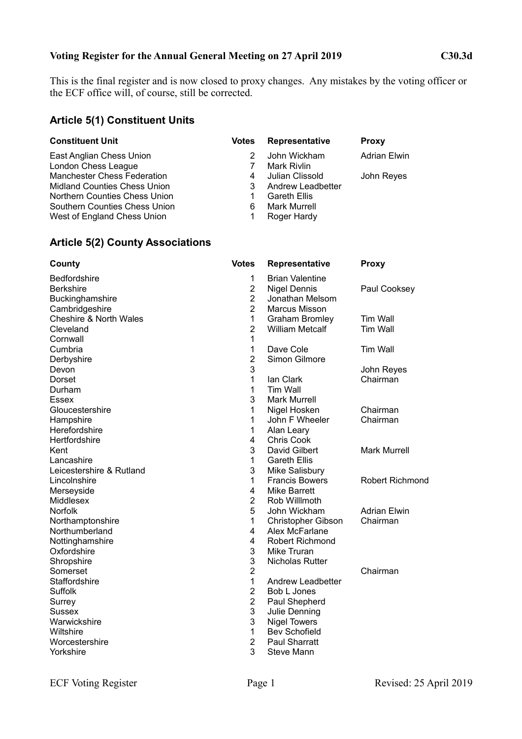## **Voting Register for the Annual General Meeting on 27 April 2019 C30.3d**

This is the final register and is now closed to proxy changes. Any mistakes by the voting officer or the ECF office will, of course, still be corrected.

### **Article 5(1) Constituent Units**

| <b>Constituent Unit</b>             | <b>Votes</b> | Representative      | <b>Proxy</b>        |
|-------------------------------------|--------------|---------------------|---------------------|
| East Anglian Chess Union            |              | John Wickham        | <b>Adrian Elwin</b> |
| London Chess League                 |              | Mark Rivlin         |                     |
| <b>Manchester Chess Federation</b>  |              | Julian Clissold     | John Reyes          |
| <b>Midland Counties Chess Union</b> | 3            | Andrew Leadbetter   |                     |
| Northern Counties Chess Union       |              | <b>Gareth Ellis</b> |                     |
| Southern Counties Chess Union       | 6            | <b>Mark Murrell</b> |                     |
| West of England Chess Union         |              | Roger Hardy         |                     |

## **Article 5(2) County Associations**

| County                            | <b>Votes</b>   | <b>Representative</b>  | <b>Proxy</b>           |
|-----------------------------------|----------------|------------------------|------------------------|
| Bedfordshire                      | 1              | <b>Brian Valentine</b> |                        |
| <b>Berkshire</b>                  | $\overline{2}$ | Nigel Dennis           | Paul Cooksey           |
| Buckinghamshire                   | $\overline{2}$ | Jonathan Melsom        |                        |
| Cambridgeshire                    | $\overline{2}$ | Marcus Misson          |                        |
| <b>Cheshire &amp; North Wales</b> | $\mathbf{1}$   | <b>Graham Bromley</b>  | Tim Wall               |
| Cleveland                         | $\overline{2}$ | <b>William Metcalf</b> | <b>Tim Wall</b>        |
| Cornwall                          | 1              |                        |                        |
| Cumbria                           | 1              | Dave Cole              | <b>Tim Wall</b>        |
| Derbyshire                        | $\overline{2}$ | Simon Gilmore          |                        |
| Devon                             | 3              |                        | John Reyes             |
| Dorset                            | 1              | lan Clark              | Chairman               |
| Durham                            | 1              | Tim Wall               |                        |
| Essex                             | 3              | <b>Mark Murrell</b>    |                        |
| Gloucestershire                   | 1              | Nigel Hosken           | Chairman               |
| Hampshire                         | 1              | John F Wheeler         | Chairman               |
| Herefordshire                     | 1              | Alan Leary             |                        |
| Hertfordshire                     | 4              | <b>Chris Cook</b>      |                        |
| Kent                              | 3              | David Gilbert          | <b>Mark Murrell</b>    |
| Lancashire                        | $\mathbf{1}$   | <b>Gareth Ellis</b>    |                        |
| Leicestershire & Rutland          | 3              | Mike Salisbury         |                        |
| Lincolnshire                      | $\mathbf{1}$   | <b>Francis Bowers</b>  | <b>Robert Richmond</b> |
| Merseyside                        | 4              | <b>Mike Barrett</b>    |                        |
| Middlesex                         | $\overline{2}$ | Rob Willlmoth          |                        |
| <b>Norfolk</b>                    | 5              | John Wickham           | <b>Adrian Elwin</b>    |
| Northamptonshire                  | $\mathbf{1}$   | Christopher Gibson     | Chairman               |
| Northumberland                    | 4              | Alex McFarlane         |                        |
| Nottinghamshire                   | 4              | <b>Robert Richmond</b> |                        |
| Oxfordshire                       | 3              | Mike Truran            |                        |
| Shropshire                        | 3              | <b>Nicholas Rutter</b> |                        |
| Somerset                          | $\overline{2}$ |                        | Chairman               |
| Staffordshire                     | 1              | Andrew Leadbetter      |                        |
| Suffolk                           | $\overline{2}$ | Bob L Jones            |                        |
| Surrey                            | $\overline{2}$ | Paul Shepherd          |                        |
| Sussex                            | 3              | Julie Denning          |                        |
| Warwickshire                      | 3              | <b>Nigel Towers</b>    |                        |
| Wiltshire                         | $\mathbf{1}$   | <b>Bev Schofield</b>   |                        |
| Worcestershire                    | $\overline{2}$ | <b>Paul Sharratt</b>   |                        |
| Yorkshire                         | 3              | Steve Mann             |                        |
|                                   |                |                        |                        |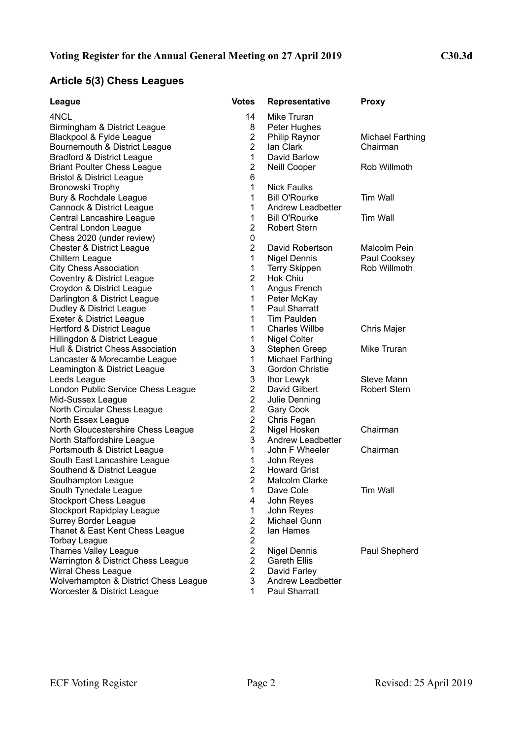# **Article 5(3) Chess Leagues**

| League                                | <b>Votes</b>   | Representative           | <b>Proxy</b>            |
|---------------------------------------|----------------|--------------------------|-------------------------|
| 4NCL                                  | 14             | Mike Truran              |                         |
| Birmingham & District League          | 8              | Peter Hughes             |                         |
| Blackpool & Fylde League              | $\overline{2}$ | Philip Raynor            | <b>Michael Farthing</b> |
| Bournemouth & District League         | $\overline{2}$ | lan Clark                | Chairman                |
| <b>Bradford &amp; District League</b> | $\mathbf{1}$   | David Barlow             |                         |
| <b>Briant Poulter Chess League</b>    | $\overline{2}$ | Neill Cooper             | Rob Willmoth            |
| <b>Bristol &amp; District League</b>  | 6              |                          |                         |
| Bronowski Trophy                      | $\mathbf{1}$   | <b>Nick Faulks</b>       |                         |
| Bury & Rochdale League                | 1              | <b>Bill O'Rourke</b>     | Tim Wall                |
| Cannock & District League             | 1              | <b>Andrew Leadbetter</b> |                         |
| Central Lancashire League             | 1              | <b>Bill O'Rourke</b>     | <b>Tim Wall</b>         |
| Central London League                 | $\overline{2}$ | <b>Robert Stern</b>      |                         |
| Chess 2020 (under review)             | 0              |                          |                         |
| <b>Chester &amp; District League</b>  | $\overline{2}$ | David Robertson          | Malcolm Pein            |
| Chiltern League                       | 1              | <b>Nigel Dennis</b>      | Paul Cooksey            |
| <b>City Chess Association</b>         | 1              | <b>Terry Skippen</b>     | Rob Willmoth            |
| Coventry & District League            | $\overline{2}$ | <b>Hok Chiu</b>          |                         |
| Croydon & District League             | 1              | Angus French             |                         |
| Darlington & District League          | 1              | Peter McKay              |                         |
| Dudley & District League              | 1              | Paul Sharratt            |                         |
| Exeter & District League              | 1              | Tim Paulden              |                         |
| Hertford & District League            | 1              | <b>Charles Willbe</b>    | Chris Majer             |
| Hillingdon & District League          | 1              | Nigel Colter             |                         |
| Hull & District Chess Association     | 3              | Stephen Greep            | Mike Truran             |
| Lancaster & Morecambe League          | 1              | Michael Farthing         |                         |
| Leamington & District League          | 3              | Gordon Christie          |                         |
| Leeds League                          | 3              | Ihor Lewyk               | <b>Steve Mann</b>       |
| London Public Service Chess League    | $\overline{2}$ | David Gilbert            | <b>Robert Stern</b>     |
| Mid-Sussex League                     | $\overline{2}$ | Julie Denning            |                         |
| North Circular Chess League           | $\overline{2}$ | Gary Cook                |                         |
| North Essex League                    | $\overline{2}$ | Chris Fegan              |                         |
| North Gloucestershire Chess League    | $\overline{2}$ | Nigel Hosken             | Chairman                |
| North Staffordshire League            | 3              | Andrew Leadbetter        |                         |
| Portsmouth & District League          | 1              | John F Wheeler           | Chairman                |
| South East Lancashire League          | 1              | John Reyes               |                         |
| Southend & District League            | $\overline{2}$ | <b>Howard Grist</b>      |                         |
| Southampton League                    | $\overline{2}$ | <b>Malcolm Clarke</b>    |                         |
| South Tynedale League                 | 1              | Dave Cole                | Tim Wall                |
| <b>Stockport Chess League</b>         | 4              | John Reyes               |                         |
| Stockport Rapidplay League            | 1              | John Reyes               |                         |
| <b>Surrey Border League</b>           | $\overline{2}$ | Michael Gunn             |                         |
| Thanet & East Kent Chess League       | $\overline{2}$ | lan Hames                |                         |
| <b>Torbay League</b>                  | $\overline{2}$ |                          |                         |
| <b>Thames Valley League</b>           | $\overline{2}$ | Nigel Dennis             | Paul Shepherd           |
| Warrington & District Chess League    | $\overline{2}$ | <b>Gareth Ellis</b>      |                         |
| <b>Wirral Chess League</b>            | $\overline{2}$ | David Farley             |                         |
| Wolverhampton & District Chess League | 3              | Andrew Leadbetter        |                         |
| Worcester & District League           | 1              | Paul Sharratt            |                         |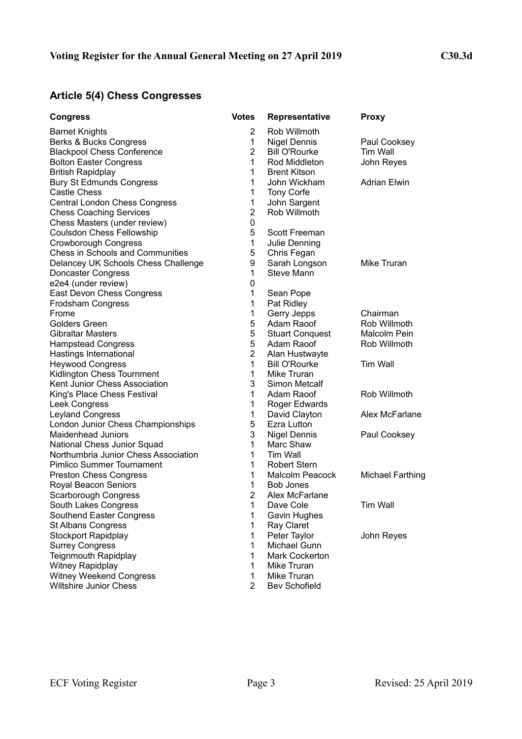# **Article 5(4) Chess Congresses**

| <b>Congress</b>                                       | <b>Votes</b>      | <b>Representative</b>               | <b>Proxy</b>            |
|-------------------------------------------------------|-------------------|-------------------------------------|-------------------------|
| <b>Barnet Knights</b>                                 | $\overline{2}$    | Rob Willmoth                        |                         |
| Berks & Bucks Congress                                | 1                 | <b>Nigel Dennis</b>                 | Paul Cooksey            |
| <b>Blackpool Chess Conference</b>                     | $\overline{2}$    | <b>Bill O'Rourke</b>                | Tim Wall                |
| <b>Bolton Easter Congress</b>                         | 1                 | Rod Middleton                       | John Reyes              |
| <b>British Rapidplay</b>                              | 1                 | <b>Brent Kitson</b>                 |                         |
| <b>Bury St Edmunds Congress</b>                       | 1                 | John Wickham                        | <b>Adrian Elwin</b>     |
| Castle Chess                                          | 1                 | Tony Corfe                          |                         |
| <b>Central London Chess Congress</b>                  | 1                 | John Sargent                        |                         |
| <b>Chess Coaching Services</b>                        | $\overline{2}$    | Rob Willmoth                        |                         |
| Chess Masters (under review)                          | 0                 |                                     |                         |
| <b>Coulsdon Chess Fellowship</b>                      | 5                 | Scott Freeman                       |                         |
| <b>Crowborough Congress</b>                           | $\mathbf 1$       | Julie Denning                       |                         |
| <b>Chess in Schools and Communities</b>               | 5                 | Chris Fegan                         |                         |
| Delancey UK Schools Chess Challenge                   | 9                 | Sarah Longson                       | Mike Truran             |
| Doncaster Congress                                    | 1                 | Steve Mann                          |                         |
| e2e4 (under review)                                   | 0                 |                                     |                         |
| East Devon Chess Congress                             | 1                 | Sean Pope                           |                         |
| Frodsham Congress                                     | 1                 | Pat Ridley                          |                         |
| Frome                                                 | 1                 | Gerry Jepps                         | Chairman                |
| <b>Golders Green</b>                                  | 5                 | Adam Raoof                          | Rob Willmoth            |
| <b>Gibraltar Masters</b>                              | 5                 | <b>Stuart Conquest</b>              | Malcolm Pein            |
| <b>Hampstead Congress</b>                             | 5                 | Adam Raoof                          | Rob Willmoth            |
| Hastings International                                | $\overline{2}$    | Alan Hustwayte                      |                         |
| <b>Heywood Congress</b><br>Kidlington Chess Tournment | $\mathbf{1}$<br>1 | <b>Bill O'Rourke</b><br>Mike Truran | <b>Tim Wall</b>         |
| Kent Junior Chess Association                         | 3                 | <b>Simon Metcalf</b>                |                         |
| King's Place Chess Festival                           | 1                 | Adam Raoof                          | Rob Willmoth            |
| Leek Congress                                         | 1                 | Roger Edwards                       |                         |
| <b>Leyland Congress</b>                               | 1                 | David Clayton                       | Alex McFarlane          |
| London Junior Chess Championships                     | 5                 | Ezra Lutton                         |                         |
| <b>Maidenhead Juniors</b>                             | 3                 | <b>Nigel Dennis</b>                 | Paul Cooksey            |
| National Chess Junior Squad                           | 1                 | Marc Shaw                           |                         |
| Northumbria Junior Chess Association                  | 1                 | Tim Wall                            |                         |
| <b>Pimlico Summer Tournament</b>                      | 1                 | <b>Robert Stern</b>                 |                         |
| <b>Preston Chess Congress</b>                         | 1                 | <b>Malcolm Peacock</b>              | <b>Michael Farthing</b> |
| Royal Beacon Seniors                                  | 1                 | <b>Bob Jones</b>                    |                         |
| Scarborough Congress                                  | $\overline{2}$    | Alex McFarlane                      |                         |
| South Lakes Congress                                  | 1                 | Dave Cole                           | Tim Wall                |
| Southend Easter Congress                              | 1                 | Gavin Hughes                        |                         |
| <b>St Albans Congress</b>                             | 1                 | Ray Claret                          |                         |
| Stockport Rapidplay                                   | 1                 | Peter Taylor                        | John Reyes              |
| <b>Surrey Congress</b>                                | 1                 | Michael Gunn                        |                         |
| <b>Teignmouth Rapidplay</b>                           | 1                 | Mark Cockerton                      |                         |
| Witney Rapidplay                                      | 1                 | Mike Truran                         |                         |
| <b>Witney Weekend Congress</b>                        | 1                 | Mike Truran                         |                         |
| <b>Wiltshire Junior Chess</b>                         | $\overline{2}$    | <b>Bev Schofield</b>                |                         |